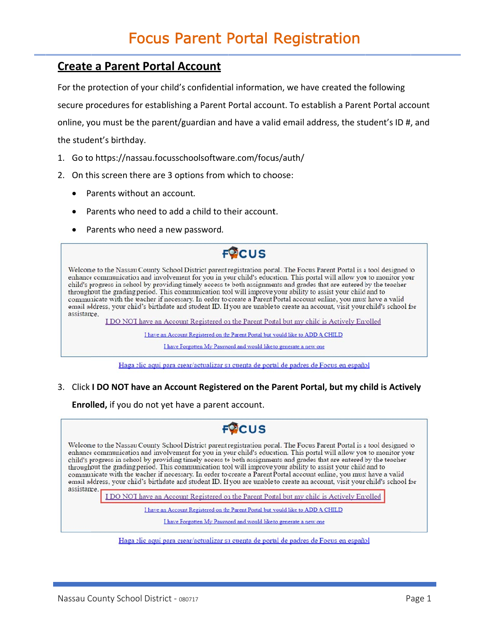### **Create a Parent Portal Account**

For the protection of your child's confidential information, we have created the following secure procedures for establishing a Parent Portal account. To establish a Parent Portal account online, you must be the parent/guardian and have a valid email address, the student's ID #, and the student's birthday.

- 1. Go to https://nassau.focusschoolsoftware.com/focus/auth/
- 2. On this screen there are 3 options from which to choose:
	- Parents without an account.
	- Parents who need to add a child to their account.
	- Parents who need a new password.

# **FOCUS**

Welcome to the Nassau County School District parent registration portal. The Focus Parent Portal is a tool designed to enhance communication and involvement for you in your child's education. This portal will allow you to monitor your child's progress in school by providing timely access to both assignments and grades that are entered by the teacher throughout the grading period. This communication tool will improve your ability to assist your child and to communicate with the teacher if necessary. In order to create a Parent Portal account online, you must have a valid email address, your child's birthdate and student ID. If you are unable to create an account, visit your child's school for assistance.

I DO NOT have an Account Registered on the Parent Portal but my child is Actively Enrolled

I have an Account Registered on the Parent Portal but would like to ADD A CHILD

I have Forgotten My Password and would like to generate a new one

Haga clic aquí para ciear/actualizar su cuenta de portal de padres de Focus en español

3. Click I DO NOT have an Account Registered on the Parent Portal, but my child is Actively

Enrolled, if you do not yet have a parent account.

## $F^{0}$ CUS

Welcome to the Nassau County School District parent registration portal. The Focus Parent Portal is a tool designed to enhance communication and involvement for you in your child's education. This portal will allow you to monitor your child's progress in school by providing timely access to both assignments and grades that are entered by the teacher throughout the grading period. This communication tool will improve your ability to assist your child and to communicate with the teacher if necessary. In order to create a Parent Portal account online, you must have a valid email address, your child's birthdate and student ID. If you are unable to create an account, visit your child's school for assistance.

I DO NOT have an Account Registered on the Parent Portal but my child is Actively Enrolled

I have an Account Registered on the Parent Portal but would like to ADD A CHILD

I have Forgotten My Password and would like to generate a new one

Haga clic aquí para ciear/actualizar su cuenta de portal de padres de Focus en español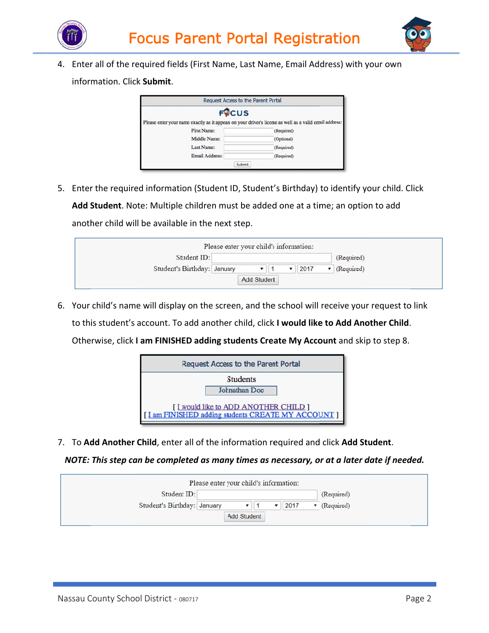



4. Enter all of the required fields (First Name, Last Name, Email Address) with your own

inform mation. Clic k **Submit**.

| Request Access to the Parent Portal                                                                     |            |
|---------------------------------------------------------------------------------------------------------|------------|
| <b>FOCUS</b>                                                                                            |            |
| Please enter your name exactly as it appears on your driver's license as well as a valid email address: |            |
| First Name:                                                                                             | (Required) |
| Middle Name:                                                                                            | (Optional) |
| Last Name:                                                                                              | (Required) |
| Email Address:                                                                                          | (Required) |
| Submit                                                                                                  |            |

5. Enter the required information (Student ID, Student's Birthday) to identify your child. Click Add Student. Note: Multiple children must be added one at a time; an option to add anoth her child wil l be availabl e in the nex t step.



6. Your child's name will display on the screen, and the school will receive your request to link to thi is student's account. To add anothe er child, click k **I would like e to Add Ano other Child**. Otherwise, click I am FINISHED adding students Create My Account and skip to step 8.



7. To Add Another Child, enter all of the information required and click Add Student.

NOTE: This step can be completed as many times as necessary, or at a later date if needed.

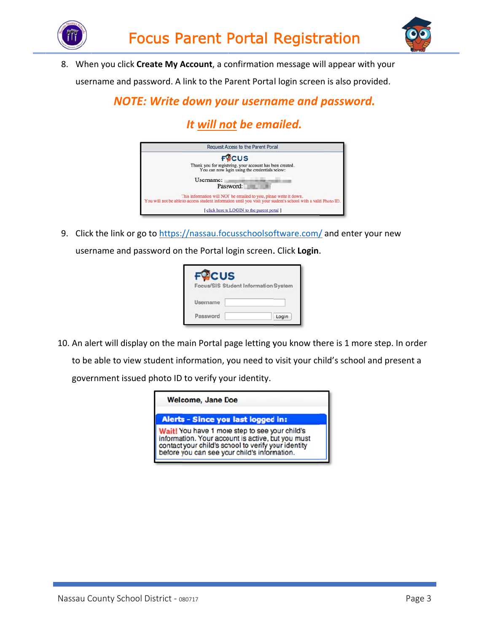



8. When you click **Create My Account**, a confirmation message will appear with your username and password. A link to the Parent Portal login screen is also provided.

## *NOTE: Write down your username and password.*

# *It <u>will not</u> be emailed.*



9. Click the link or go to https://nassau.focusschoolsoftware.com/ and enter your new username and password on the Portal login screen. Click Login.

| <b>CUS</b> | Focus/SIS Student Information System |
|------------|--------------------------------------|
| Username   |                                      |
| Password   | Login                                |

10. An alert will display on the main Portal page letting you know there is 1 more step. In order to be able to view student information, you need to visit your child's school and present a government issued photo ID to verify your identity.

| <b>Welcome, Jane Doe</b>                                                                                                                                                                                   |
|------------------------------------------------------------------------------------------------------------------------------------------------------------------------------------------------------------|
| Alerts - Since you last logged in:                                                                                                                                                                         |
| Wait! You have 1 more step to see your child's<br>information. Your account is active, but you must<br>contact your child's school to verify your identity<br>before you can see your child's information. |